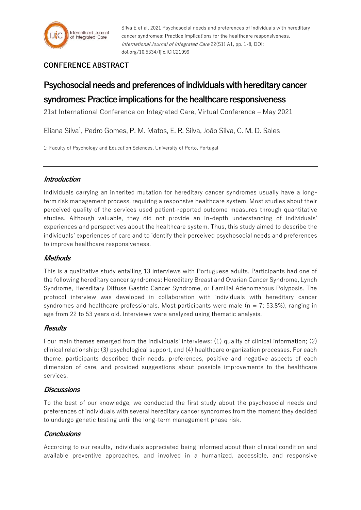# **CONFERENCE ABSTRACT**

# **Psychosocial needs and preferences of individuals with hereditary cancer syndromes: Practice implications for the healthcare responsiveness**

21st International Conference on Integrated Care, Virtual Conference – May 2021

Eliana Silva<sup>1</sup>, Pedro Gomes, P. M. Matos, E. R. Silva, João Silva, C. M. D. Sales

1: Faculty of Psychology and Education Sciences, University of Porto, Portugal

# **Introduction**

Individuals carrying an inherited mutation for hereditary cancer syndromes usually have a longterm risk management process, requiring a responsive healthcare system. Most studies about their perceived quality of the services used patient-reported outcome measures through quantitative studies. Although valuable, they did not provide an in-depth understanding of individuals' experiences and perspectives about the healthcare system. Thus, this study aimed to describe the individuals' experiences of care and to identify their perceived psychosocial needs and preferences to improve healthcare responsiveness.

# **Methods**

This is a qualitative study entailing 13 interviews with Portuguese adults. Participants had one of the following hereditary cancer syndromes: Hereditary Breast and Ovarian Cancer Syndrome, Lynch Syndrome, Hereditary Diffuse Gastric Cancer Syndrome, or Familial Adenomatous Polyposis. The protocol interview was developed in collaboration with individuals with hereditary cancer syndromes and healthcare professionals. Most participants were male ( $n = 7$ ; 53.8%), ranging in age from 22 to 53 years old. Interviews were analyzed using thematic analysis.

# **Results**

Four main themes emerged from the individuals' interviews: (1) quality of clinical information; (2) clinical relationship; (3) psychological support, and (4) healthcare organization processes. For each theme, participants described their needs, preferences, positive and negative aspects of each dimension of care, and provided suggestions about possible improvements to the healthcare services.

# **Discussions**

To the best of our knowledge, we conducted the first study about the psychosocial needs and preferences of individuals with several hereditary cancer syndromes from the moment they decided to undergo genetic testing until the long-term management phase risk.

# **Conclusions**

According to our results, individuals appreciated being informed about their clinical condition and available preventive approaches, and involved in a humanized, accessible, and responsive